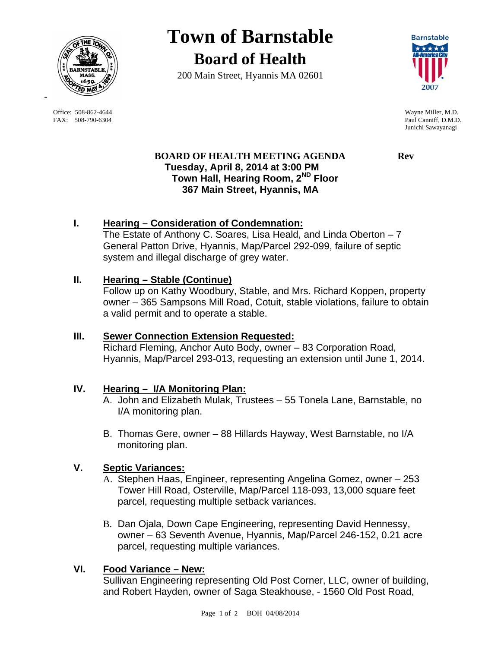

 Office: 508-862-4644 Wayne Miller, M.D. FAX: 508-790-6304 Paul Canniff, D.M.D.

-

# **Town of Barnstable Board of Health**

200 Main Street, Hyannis MA 02601



Junichi Sawayanagi

# **BOARD OF HEALTH MEETING AGENDA Rev Tuesday, April 8, 2014 at 3:00 PM Town Hall, Hearing Room, 2ND Floor 367 Main Street, Hyannis, MA**

# **I. Hearing – Consideration of Condemnation:**

The Estate of Anthony C. Soares, Lisa Heald, and Linda Oberton – 7 General Patton Drive, Hyannis, Map/Parcel 292-099, failure of septic system and illegal discharge of grey water.

## **II. Hearing – Stable (Continue)**

Follow up on Kathy Woodbury, Stable, and Mrs. Richard Koppen, property owner – 365 Sampsons Mill Road, Cotuit, stable violations, failure to obtain a valid permit and to operate a stable.

### **III. Sewer Connection Extension Requested:**

Richard Fleming, Anchor Auto Body, owner – 83 Corporation Road, Hyannis, Map/Parcel 293-013, requesting an extension until June 1, 2014.

### **IV. Hearing – I/A Monitoring Plan:**

- A. John and Elizabeth Mulak, Trustees 55 Tonela Lane, Barnstable, no I/A monitoring plan.
- B. Thomas Gere, owner 88 Hillards Hayway, West Barnstable, no I/A monitoring plan.

## **V. Septic Variances:**

- A. Stephen Haas, Engineer, representing Angelina Gomez, owner 253 Tower Hill Road, Osterville, Map/Parcel 118-093, 13,000 square feet parcel, requesting multiple setback variances.
- B. Dan Ojala, Down Cape Engineering, representing David Hennessy, owner – 63 Seventh Avenue, Hyannis, Map/Parcel 246-152, 0.21 acre parcel, requesting multiple variances.

# **VI. Food Variance – New:**

Sullivan Engineering representing Old Post Corner, LLC, owner of building, and Robert Hayden, owner of Saga Steakhouse, - 1560 Old Post Road,